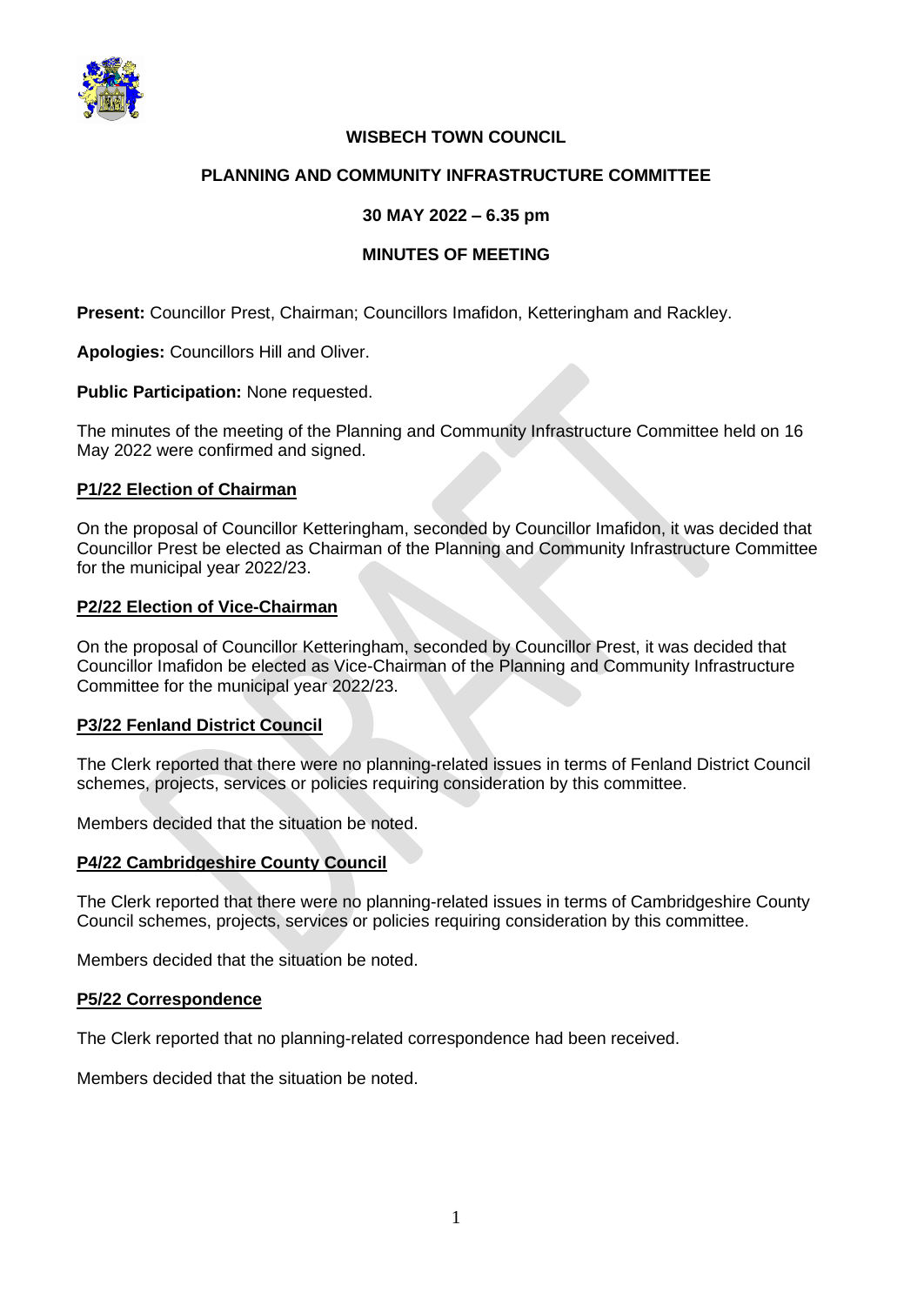

# **WISBECH TOWN COUNCIL**

## **PLANNING AND COMMUNITY INFRASTRUCTURE COMMITTEE**

## **30 MAY 2022 – 6.35 pm**

## **MINUTES OF MEETING**

**Present:** Councillor Prest, Chairman; Councillors Imafidon, Ketteringham and Rackley.

**Apologies:** Councillors Hill and Oliver.

**Public Participation:** None requested.

The minutes of the meeting of the Planning and Community Infrastructure Committee held on 16 May 2022 were confirmed and signed.

### **P1/22 Election of Chairman**

On the proposal of Councillor Ketteringham, seconded by Councillor Imafidon, it was decided that Councillor Prest be elected as Chairman of the Planning and Community Infrastructure Committee for the municipal year 2022/23.

### **P2/22 Election of Vice-Chairman**

On the proposal of Councillor Ketteringham, seconded by Councillor Prest, it was decided that Councillor Imafidon be elected as Vice-Chairman of the Planning and Community Infrastructure Committee for the municipal year 2022/23.

## **P3/22 Fenland District Council**

The Clerk reported that there were no planning-related issues in terms of Fenland District Council schemes, projects, services or policies requiring consideration by this committee.

Members decided that the situation be noted.

## **P4/22 Cambridgeshire County Council**

The Clerk reported that there were no planning-related issues in terms of Cambridgeshire County Council schemes, projects, services or policies requiring consideration by this committee.

Members decided that the situation be noted.

#### **P5/22 Correspondence**

The Clerk reported that no planning-related correspondence had been received.

Members decided that the situation be noted.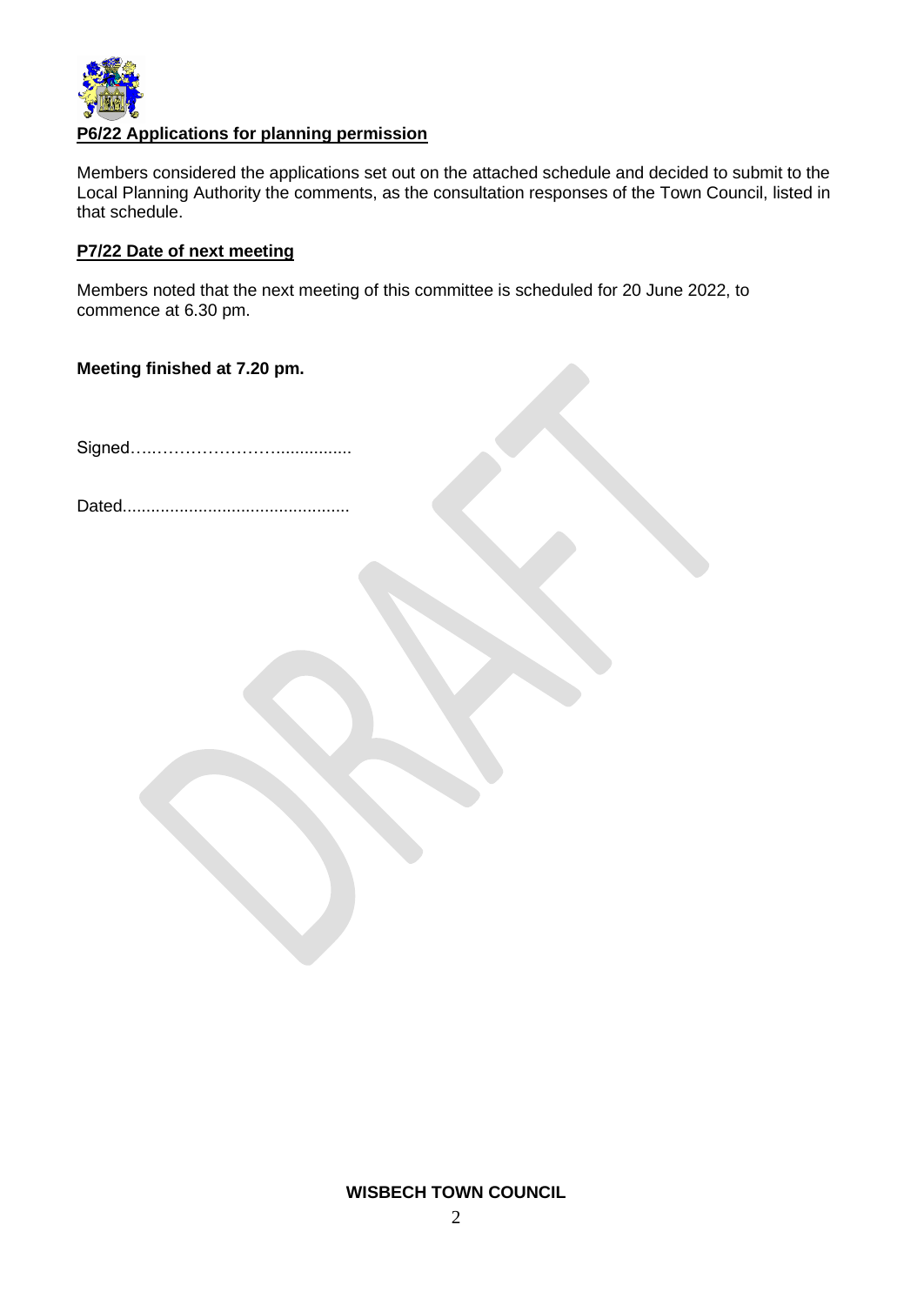

# **P6/22 Applications for planning permission**

Members considered the applications set out on the attached schedule and decided to submit to the Local Planning Authority the comments, as the consultation responses of the Town Council, listed in that schedule.

## **P7/22 Date of next meeting**

Members noted that the next meeting of this committee is scheduled for 20 June 2022, to commence at 6.30 pm.

### **Meeting finished at 7.20 pm.**

Signed…..…………………................

Dated................................................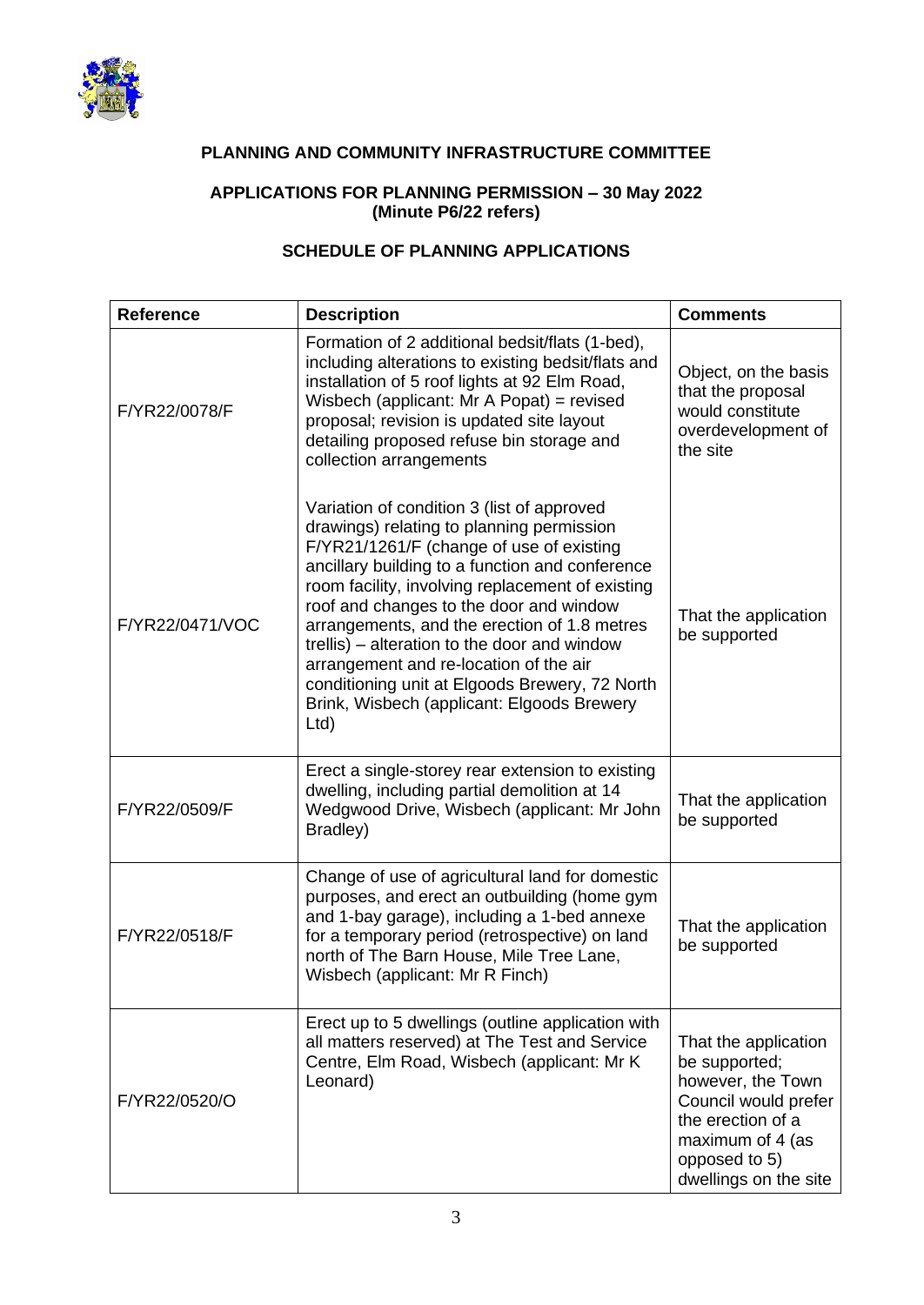

# **PLANNING AND COMMUNITY INFRASTRUCTURE COMMITTEE**

## **APPLICATIONS FOR PLANNING PERMISSION – 30 May 2022 (Minute P6/22 refers)**

# **SCHEDULE OF PLANNING APPLICATIONS**

| <b>Reference</b> | <b>Description</b>                                                                                                                                                                                                                                                                                                                                                                                                                                                                                                                      | <b>Comments</b>                                                                                                                                                       |
|------------------|-----------------------------------------------------------------------------------------------------------------------------------------------------------------------------------------------------------------------------------------------------------------------------------------------------------------------------------------------------------------------------------------------------------------------------------------------------------------------------------------------------------------------------------------|-----------------------------------------------------------------------------------------------------------------------------------------------------------------------|
| F/YR22/0078/F    | Formation of 2 additional bedsit/flats (1-bed),<br>including alterations to existing bedsit/flats and<br>installation of 5 roof lights at 92 Elm Road,<br>Wisbech (applicant: Mr A Popat) = revised<br>proposal; revision is updated site layout<br>detailing proposed refuse bin storage and<br>collection arrangements                                                                                                                                                                                                                | Object, on the basis<br>that the proposal<br>would constitute<br>overdevelopment of<br>the site                                                                       |
| F/YR22/0471/VOC  | Variation of condition 3 (list of approved<br>drawings) relating to planning permission<br>F/YR21/1261/F (change of use of existing<br>ancillary building to a function and conference<br>room facility, involving replacement of existing<br>roof and changes to the door and window<br>arrangements, and the erection of 1.8 metres<br>trellis) – alteration to the door and window<br>arrangement and re-location of the air<br>conditioning unit at Elgoods Brewery, 72 North<br>Brink, Wisbech (applicant: Elgoods Brewery<br>Ltd) | That the application<br>be supported                                                                                                                                  |
| F/YR22/0509/F    | Erect a single-storey rear extension to existing<br>dwelling, including partial demolition at 14<br>Wedgwood Drive, Wisbech (applicant: Mr John<br>Bradley)                                                                                                                                                                                                                                                                                                                                                                             | That the application<br>be supported                                                                                                                                  |
| F/YR22/0518/F    | Change of use of agricultural land for domestic<br>purposes, and erect an outbuilding (home gym<br>and 1-bay garage), including a 1-bed annexe<br>for a temporary period (retrospective) on land<br>north of The Barn House, Mile Tree Lane,<br>Wisbech (applicant: Mr R Finch)                                                                                                                                                                                                                                                         | That the application<br>be supported                                                                                                                                  |
| F/YR22/0520/O    | Erect up to 5 dwellings (outline application with<br>all matters reserved) at The Test and Service<br>Centre, Elm Road, Wisbech (applicant: Mr K<br>Leonard)                                                                                                                                                                                                                                                                                                                                                                            | That the application<br>be supported;<br>however, the Town<br>Council would prefer<br>the erection of a<br>maximum of 4 (as<br>opposed to 5)<br>dwellings on the site |